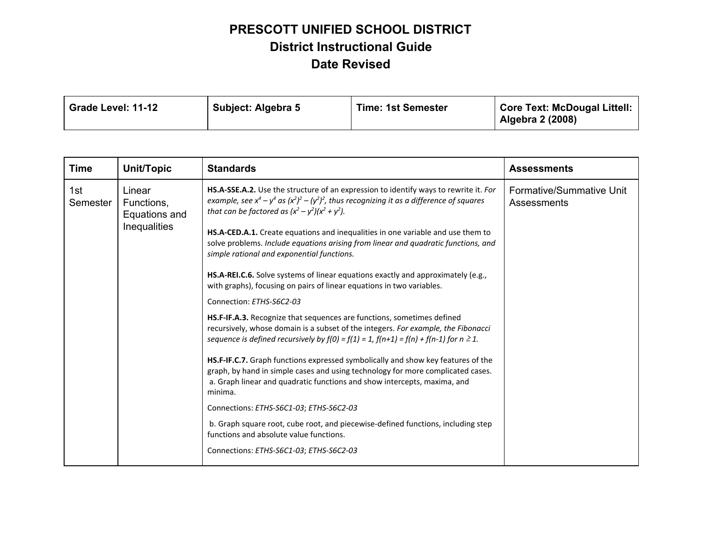| Grade Level: 11-12 | Subject: Algebra 5 | <b>Time: 1st Semester</b> | <b>Core Text: McDougal Littell:</b><br>Algebra 2 (2008) |
|--------------------|--------------------|---------------------------|---------------------------------------------------------|
|--------------------|--------------------|---------------------------|---------------------------------------------------------|

| <b>Time</b>     | Unit/Topic                                                   | <b>Standards</b>                                                                                                                                                                                                                                                                                                                                                                                                                                                                                                                                                                                                                                                                                                                                                                                                                                                                                                                                                                                                                                                                                                                                                                                                                                                                                                                                                                                                    | <b>Assessments</b>                      |
|-----------------|--------------------------------------------------------------|---------------------------------------------------------------------------------------------------------------------------------------------------------------------------------------------------------------------------------------------------------------------------------------------------------------------------------------------------------------------------------------------------------------------------------------------------------------------------------------------------------------------------------------------------------------------------------------------------------------------------------------------------------------------------------------------------------------------------------------------------------------------------------------------------------------------------------------------------------------------------------------------------------------------------------------------------------------------------------------------------------------------------------------------------------------------------------------------------------------------------------------------------------------------------------------------------------------------------------------------------------------------------------------------------------------------------------------------------------------------------------------------------------------------|-----------------------------------------|
| 1st<br>Semester | Linear<br>Functions,<br>Equations and<br><b>Inequalities</b> | HS.A-SSE.A.2. Use the structure of an expression to identify ways to rewrite it. For<br>example, see $x^4 - y^4$ as $(x^2)^2 - (y^2)^2$ , thus recognizing it as a difference of squares<br>that can be factored as $(x^2 - y^2)(x^2 + y^2)$ .<br>HS.A-CED.A.1. Create equations and inequalities in one variable and use them to<br>solve problems. Include equations arising from linear and quadratic functions, and<br>simple rational and exponential functions.<br>HS.A-REI.C.6. Solve systems of linear equations exactly and approximately (e.g.,<br>with graphs), focusing on pairs of linear equations in two variables.<br>Connection: ETHS-S6C2-03<br>HS.F-IF.A.3. Recognize that sequences are functions, sometimes defined<br>recursively, whose domain is a subset of the integers. For example, the Fibonacci<br>sequence is defined recursively by $f(0) = f(1) = 1$ , $f(n+1) = f(n) + f(n-1)$ for $n \ge 1$ .<br>HS.F-IF.C.7. Graph functions expressed symbolically and show key features of the<br>graph, by hand in simple cases and using technology for more complicated cases.<br>a. Graph linear and quadratic functions and show intercepts, maxima, and<br>minima.<br>Connections: ETHS-S6C1-03; ETHS-S6C2-03<br>b. Graph square root, cube root, and piecewise-defined functions, including step<br>functions and absolute value functions.<br>Connections: ETHS-S6C1-03; ETHS-S6C2-03 | Formative/Summative Unit<br>Assessments |
|                 |                                                              |                                                                                                                                                                                                                                                                                                                                                                                                                                                                                                                                                                                                                                                                                                                                                                                                                                                                                                                                                                                                                                                                                                                                                                                                                                                                                                                                                                                                                     |                                         |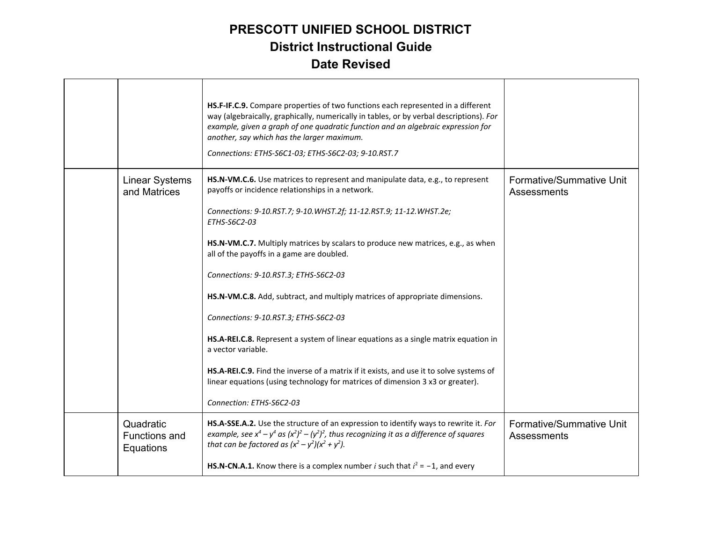|                                                | HS.F-IF.C.9. Compare properties of two functions each represented in a different<br>way (algebraically, graphically, numerically in tables, or by verbal descriptions). For<br>example, given a graph of one quadratic function and an algebraic expression for<br>another, say which has the larger maximum.<br>Connections: ETHS-S6C1-03; ETHS-S6C2-03; 9-10.RST.7 |                                         |
|------------------------------------------------|----------------------------------------------------------------------------------------------------------------------------------------------------------------------------------------------------------------------------------------------------------------------------------------------------------------------------------------------------------------------|-----------------------------------------|
| <b>Linear Systems</b><br>and Matrices          | HS.N-VM.C.6. Use matrices to represent and manipulate data, e.g., to represent<br>payoffs or incidence relationships in a network.<br>Connections: 9-10.RST.7; 9-10.WHST.2f; 11-12.RST.9; 11-12.WHST.2e;                                                                                                                                                             | Formative/Summative Unit<br>Assessments |
|                                                | ETHS-S6C2-03                                                                                                                                                                                                                                                                                                                                                         |                                         |
|                                                | HS.N-VM.C.7. Multiply matrices by scalars to produce new matrices, e.g., as when<br>all of the payoffs in a game are doubled.                                                                                                                                                                                                                                        |                                         |
|                                                | Connections: 9-10.RST.3; ETHS-S6C2-03                                                                                                                                                                                                                                                                                                                                |                                         |
|                                                | HS.N-VM.C.8. Add, subtract, and multiply matrices of appropriate dimensions.                                                                                                                                                                                                                                                                                         |                                         |
|                                                | Connections: 9-10.RST.3; ETHS-S6C2-03                                                                                                                                                                                                                                                                                                                                |                                         |
|                                                | HS.A-REI.C.8. Represent a system of linear equations as a single matrix equation in<br>a vector variable.                                                                                                                                                                                                                                                            |                                         |
|                                                | HS.A-REI.C.9. Find the inverse of a matrix if it exists, and use it to solve systems of<br>linear equations (using technology for matrices of dimension 3 x3 or greater).                                                                                                                                                                                            |                                         |
|                                                | Connection: ETHS-S6C2-03                                                                                                                                                                                                                                                                                                                                             |                                         |
| Quadratic<br><b>Functions and</b><br>Equations | HS.A-SSE.A.2. Use the structure of an expression to identify ways to rewrite it. For<br>example, see $x^4 - y^4$ as $(x^2)^2 - (y^2)^2$ , thus recognizing it as a difference of squares<br>that can be factored as $(x^2 - y^2)(x^2 + y^2)$ .                                                                                                                       | Formative/Summative Unit<br>Assessments |
|                                                | <b>HS.N-CN.A.1.</b> Know there is a complex number <i>i</i> such that $i^2 = -1$ , and every                                                                                                                                                                                                                                                                         |                                         |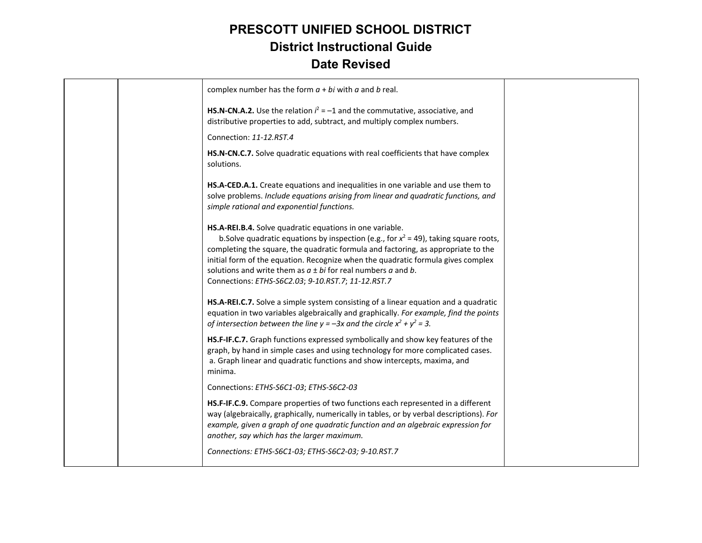|  | complex number has the form $a + bi$ with a and b real.                                                                                                                                                                                                                                                                                                                                                                                                 |  |
|--|---------------------------------------------------------------------------------------------------------------------------------------------------------------------------------------------------------------------------------------------------------------------------------------------------------------------------------------------------------------------------------------------------------------------------------------------------------|--|
|  | HS.N-CN.A.2. Use the relation $i^2 = -1$ and the commutative, associative, and<br>distributive properties to add, subtract, and multiply complex numbers.                                                                                                                                                                                                                                                                                               |  |
|  | Connection: 11-12.RST.4                                                                                                                                                                                                                                                                                                                                                                                                                                 |  |
|  | HS.N-CN.C.7. Solve quadratic equations with real coefficients that have complex<br>solutions.                                                                                                                                                                                                                                                                                                                                                           |  |
|  | HS.A-CED.A.1. Create equations and inequalities in one variable and use them to<br>solve problems. Include equations arising from linear and quadratic functions, and<br>simple rational and exponential functions.                                                                                                                                                                                                                                     |  |
|  | HS.A-REI.B.4. Solve quadratic equations in one variable.<br>b. Solve quadratic equations by inspection (e.g., for $x^2 = 49$ ), taking square roots,<br>completing the square, the quadratic formula and factoring, as appropriate to the<br>initial form of the equation. Recognize when the quadratic formula gives complex<br>solutions and write them as $a \pm bi$ for real numbers a and b.<br>Connections: ETHS-S6C2.03; 9-10.RST.7; 11-12.RST.7 |  |
|  | HS.A-REI.C.7. Solve a simple system consisting of a linear equation and a quadratic<br>equation in two variables algebraically and graphically. For example, find the points<br>of intersection between the line $y = -3x$ and the circle $x^2 + y^2 = 3$ .                                                                                                                                                                                             |  |
|  | HS.F-IF.C.7. Graph functions expressed symbolically and show key features of the<br>graph, by hand in simple cases and using technology for more complicated cases.<br>a. Graph linear and quadratic functions and show intercepts, maxima, and<br>minima.                                                                                                                                                                                              |  |
|  | Connections: ETHS-S6C1-03; ETHS-S6C2-03                                                                                                                                                                                                                                                                                                                                                                                                                 |  |
|  | HS.F-IF.C.9. Compare properties of two functions each represented in a different<br>way (algebraically, graphically, numerically in tables, or by verbal descriptions). For<br>example, given a graph of one quadratic function and an algebraic expression for<br>another, say which has the larger maximum.                                                                                                                                           |  |
|  | Connections: ETHS-S6C1-03; ETHS-S6C2-03; 9-10.RST.7                                                                                                                                                                                                                                                                                                                                                                                                     |  |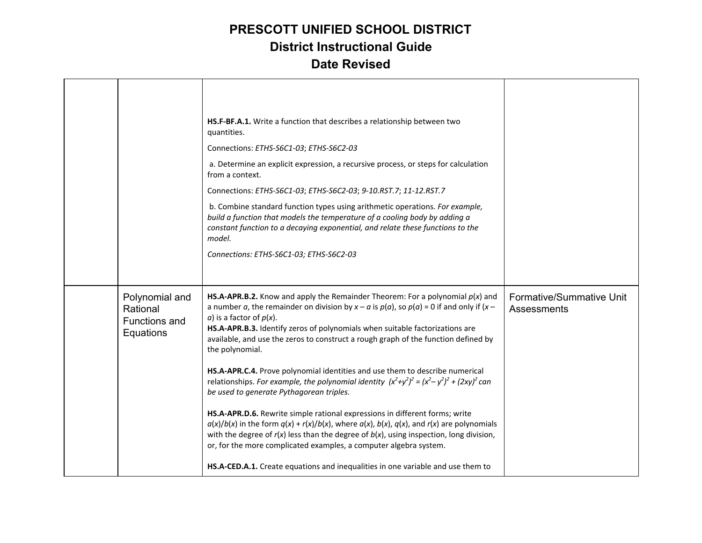|                                                                 | HS.F-BF.A.1. Write a function that describes a relationship between two<br>quantities.<br>Connections: ETHS-S6C1-03; ETHS-S6C2-03<br>a. Determine an explicit expression, a recursive process, or steps for calculation<br>from a context.<br>Connections: ETHS-S6C1-03; ETHS-S6C2-03; 9-10.RST.7; 11-12.RST.7<br>b. Combine standard function types using arithmetic operations. For example,<br>build a function that models the temperature of a cooling body by adding a<br>constant function to a decaying exponential, and relate these functions to the<br>model.<br>Connections: ETHS-S6C1-03; ETHS-S6C2-03                                                                                                                                                                                                                                                                                                                                                                                                                                                                          |                                         |
|-----------------------------------------------------------------|----------------------------------------------------------------------------------------------------------------------------------------------------------------------------------------------------------------------------------------------------------------------------------------------------------------------------------------------------------------------------------------------------------------------------------------------------------------------------------------------------------------------------------------------------------------------------------------------------------------------------------------------------------------------------------------------------------------------------------------------------------------------------------------------------------------------------------------------------------------------------------------------------------------------------------------------------------------------------------------------------------------------------------------------------------------------------------------------|-----------------------------------------|
| Polynomial and<br>Rational<br><b>Functions and</b><br>Equations | HS.A-APR.B.2. Know and apply the Remainder Theorem: For a polynomial $p(x)$ and<br>a number a, the remainder on division by $x - a$ is $p(a)$ , so $p(a) = 0$ if and only if $(x - a)$<br>a) is a factor of $p(x)$ .<br>HS.A-APR.B.3. Identify zeros of polynomials when suitable factorizations are<br>available, and use the zeros to construct a rough graph of the function defined by<br>the polynomial.<br>HS.A-APR.C.4. Prove polynomial identities and use them to describe numerical<br>relationships. For example, the polynomial identity $(x^2+y^2)^2 = (x^2-y^2)^2 + (2xy)^2$ can<br>be used to generate Pythagorean triples.<br>HS.A-APR.D.6. Rewrite simple rational expressions in different forms; write<br>$a(x)/b(x)$ in the form $q(x) + r(x)/b(x)$ , where $a(x)$ , $b(x)$ , $q(x)$ , and $r(x)$ are polynomials<br>with the degree of $r(x)$ less than the degree of $b(x)$ , using inspection, long division,<br>or, for the more complicated examples, a computer algebra system.<br>HS.A-CED.A.1. Create equations and inequalities in one variable and use them to | Formative/Summative Unit<br>Assessments |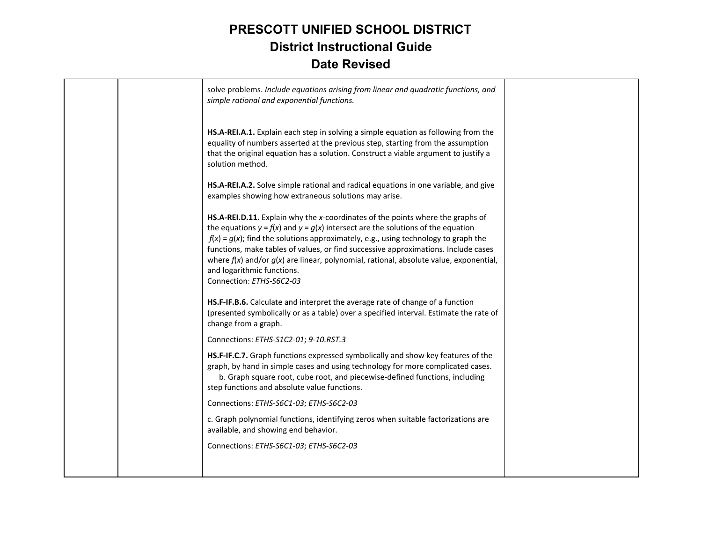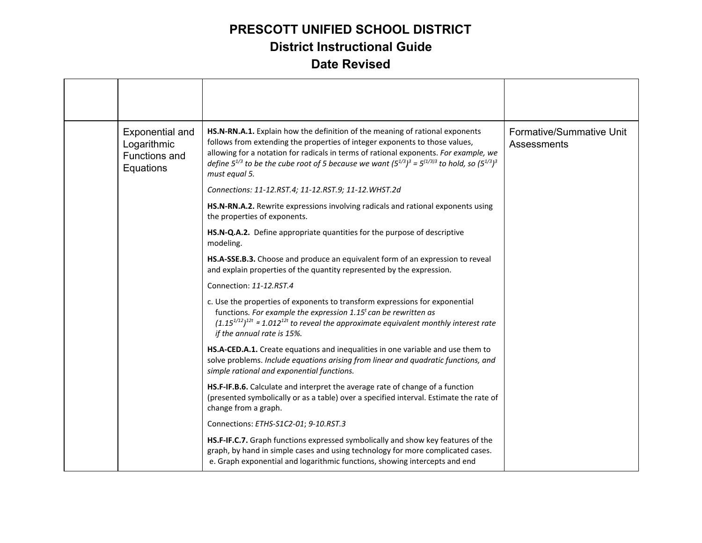| <b>Exponential and</b><br>Logarithmic<br><b>Functions and</b><br>Equations | HS.N-RN.A.1. Explain how the definition of the meaning of rational exponents<br>follows from extending the properties of integer exponents to those values,<br>allowing for a notation for radicals in terms of rational exponents. For example, we<br>define $5^{1/3}$ to be the cube root of 5 because we want $(5^{1/3})^3 = 5^{(1/3)3}$ to hold, so $(5^{1/3})^3$<br>must equal 5. | Formative/Summative Unit<br>Assessments |
|----------------------------------------------------------------------------|----------------------------------------------------------------------------------------------------------------------------------------------------------------------------------------------------------------------------------------------------------------------------------------------------------------------------------------------------------------------------------------|-----------------------------------------|
|                                                                            | Connections: 11-12.RST.4; 11-12.RST.9; 11-12.WHST.2d                                                                                                                                                                                                                                                                                                                                   |                                         |
|                                                                            | HS.N-RN.A.2. Rewrite expressions involving radicals and rational exponents using<br>the properties of exponents.                                                                                                                                                                                                                                                                       |                                         |
|                                                                            | HS.N-Q.A.2. Define appropriate quantities for the purpose of descriptive<br>modeling.                                                                                                                                                                                                                                                                                                  |                                         |
|                                                                            | HS.A-SSE.B.3. Choose and produce an equivalent form of an expression to reveal<br>and explain properties of the quantity represented by the expression.                                                                                                                                                                                                                                |                                         |
|                                                                            | Connection: 11-12.RST.4                                                                                                                                                                                                                                                                                                                                                                |                                         |
|                                                                            | c. Use the properties of exponents to transform expressions for exponential<br>functions. For example the expression $1.15t$ can be rewritten as<br>$(1.15^{1/12})^{12t}$ = 1.012 <sup>12t</sup> to reveal the approximate equivalent monthly interest rate<br>if the annual rate is 15%.                                                                                              |                                         |
|                                                                            | HS.A-CED.A.1. Create equations and inequalities in one variable and use them to<br>solve problems. Include equations arising from linear and quadratic functions, and<br>simple rational and exponential functions.                                                                                                                                                                    |                                         |
|                                                                            | HS.F-IF.B.6. Calculate and interpret the average rate of change of a function<br>(presented symbolically or as a table) over a specified interval. Estimate the rate of<br>change from a graph.                                                                                                                                                                                        |                                         |
|                                                                            | Connections: ETHS-S1C2-01; 9-10.RST.3                                                                                                                                                                                                                                                                                                                                                  |                                         |
|                                                                            | HS.F-IF.C.7. Graph functions expressed symbolically and show key features of the<br>graph, by hand in simple cases and using technology for more complicated cases.<br>e. Graph exponential and logarithmic functions, showing intercepts and end                                                                                                                                      |                                         |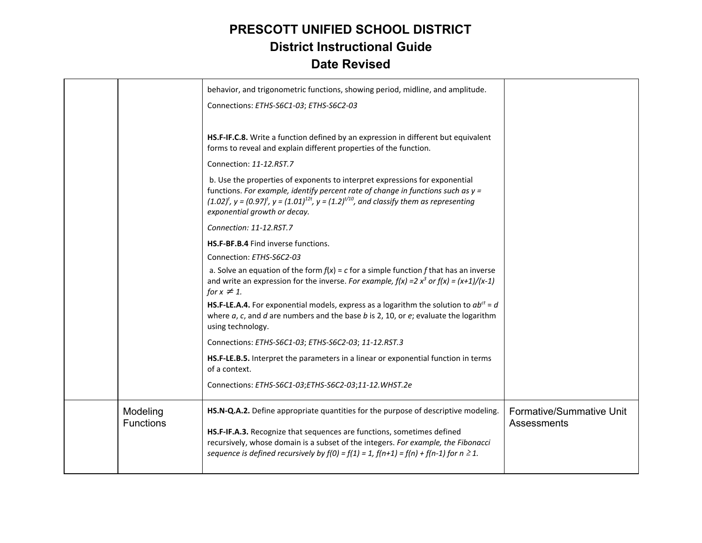|                              | behavior, and trigonometric functions, showing period, midline, and amplitude.<br>Connections: ETHS-S6C1-03; ETHS-S6C2-03                                                                                                                                                                                      |                                         |
|------------------------------|----------------------------------------------------------------------------------------------------------------------------------------------------------------------------------------------------------------------------------------------------------------------------------------------------------------|-----------------------------------------|
|                              | HS.F-IF.C.8. Write a function defined by an expression in different but equivalent<br>forms to reveal and explain different properties of the function.<br>Connection: 11-12.RST.7                                                                                                                             |                                         |
|                              | b. Use the properties of exponents to interpret expressions for exponential<br>functions. For example, identify percent rate of change in functions such as $y =$<br>$(1.02)^t$ , $y = (0.97)^t$ , $y = (1.01)^{12t}$ , $y = (1.2)^{t/10}$ , and classify them as representing<br>exponential growth or decay. |                                         |
|                              | Connection: 11-12.RST.7                                                                                                                                                                                                                                                                                        |                                         |
|                              | HS.F-BF.B.4 Find inverse functions.                                                                                                                                                                                                                                                                            |                                         |
|                              | Connection: ETHS-S6C2-03                                                                                                                                                                                                                                                                                       |                                         |
|                              | a. Solve an equation of the form $f(x) = c$ for a simple function f that has an inverse<br>and write an expression for the inverse. For example, $f(x) = 2x^3$ or $f(x) = (x+1)/(x-1)$<br>for $x \neq 1$ .                                                                                                     |                                         |
|                              | HS.F-LE.A.4. For exponential models, express as a logarithm the solution to $ab^{ct} = d$<br>where $a$ , $c$ , and $d$ are numbers and the base $b$ is 2, 10, or $e$ ; evaluate the logarithm<br>using technology.                                                                                             |                                         |
|                              | Connections: ETHS-S6C1-03; ETHS-S6C2-03; 11-12.RST.3                                                                                                                                                                                                                                                           |                                         |
|                              | HS.F-LE.B.5. Interpret the parameters in a linear or exponential function in terms<br>of a context.                                                                                                                                                                                                            |                                         |
|                              | Connections: ETHS-S6C1-03;ETHS-S6C2-03;11-12. WHST.2e                                                                                                                                                                                                                                                          |                                         |
| Modeling<br><b>Functions</b> | HS.N-Q.A.2. Define appropriate quantities for the purpose of descriptive modeling.                                                                                                                                                                                                                             | Formative/Summative Unit<br>Assessments |
|                              | HS.F-IF.A.3. Recognize that sequences are functions, sometimes defined<br>recursively, whose domain is a subset of the integers. For example, the Fibonacci<br>sequence is defined recursively by $f(0) = f(1) = 1$ , $f(n+1) = f(n) + f(n-1)$ for $n \ge 1$ .                                                 |                                         |